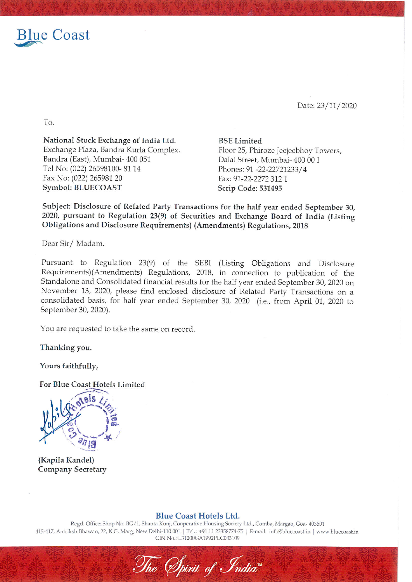

To,

Date: 23/11/2020

National Stock Exchange of India Ltd. Exchange Plaza, Bandra Kurla Complex, Bandra (East), Mumbai- 400 051 Tel No: (022) 26598100- 81 14 Fax No: (022) 265981 20 Symbol: BLUECOAST

BSE Limited Floor 25, Phiroze Jeejeebhoy Towers, Dalal Street, Mumbai- 400 00 I Phones: 91 -22-22721233/ 4 Fax: 91-22-2272 312 1 Scrip Code: 531495

Subject: Disclosure of Related Party Transactions for the half year ended September 30, 2020, pursuant to Regulation 23(9) of Securities and Exchange Board of India (Listing Obligations and Disclosure Requirements) (Amendments) Regulations, <sup>2018</sup>

Dear Sir/ Madam,

Pursuant to Regulation 23(9) of the SEBI (Listing Obligations and Disclosure Requirements)(Amendments) Regulations, 2018, in connection to publication of the Standalone and Consolidated financial results for the half year ended September 30, <sup>2020</sup> on November 13, 2020, please find enclosed disclosure of Related Party Transactions on <sup>a</sup> consolidated basis, for half year ended September 30, <sup>2020</sup> (i.e., from April 01, <sup>2020</sup> to September 30, 2020).

You are requested to take the same on record.

Thanking you.

Yours faithfully,

For Blue Coast Hotels Limited



(Kapila Kandel) Company Secretary

Blue Coast Hotels Ltd.

Regd. Office: Shop No. BG/1, Shanta Kunj, Cooperative Housing Society Ltd., Comba, Margao, Goa- 403601 415-417, Antriksh Bhawan, 22, K.G. Marg, New Delhi-110 001 | Tel.: +91 11 23358774-75 | E-mail: info@bluecoast.in | www.bluecoast.in CIN No.: L31200GA1992PLC003109

The Spirit of India